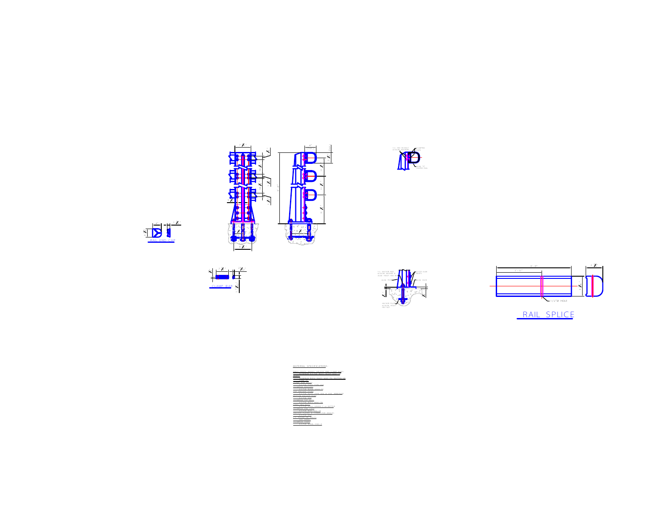

7 1 4 "

.<br>...









|          | ļ                        |                                     |                           |  |
|----------|--------------------------|-------------------------------------|---------------------------|--|
|          |                          |                                     |                           |  |
|          |                          |                                     |                           |  |
|          |                          |                                     |                           |  |
|          |                          |                                     |                           |  |
|          |                          |                                     |                           |  |
| MATERIAL |                          | SPECIFICATIONS:                     | ALLOY 0001-<br>6061<br>T6 |  |
|          |                          | <b>YPE</b><br>104<br>٠IJ<br>$^{12}$ |                           |  |
| 300      | ày<br>Mais<br>ERIE<br>ŗ. | 156 - To<br>CONNECTOR               | BETTER<br>ANGLES:         |  |
|          | i.<br>202                | 1100<br>ċ                           |                           |  |

"

|<br>|-" 1<br>.<br>. " .<br>.<br>.

(TYP.)

4"

(TYP.)

Е

€